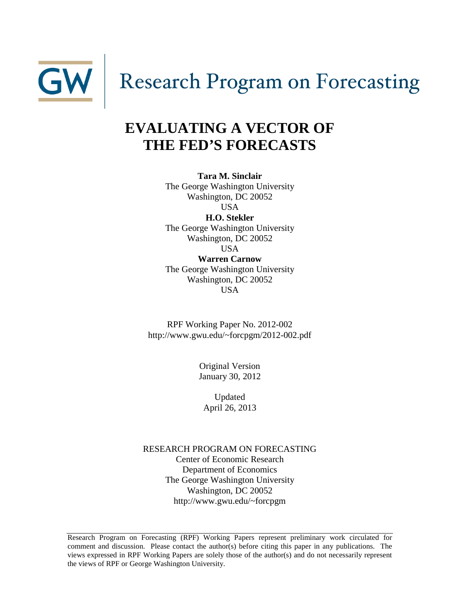

# Research Program on Forecasting

## **EVALUATING A VECTOR OF THE FED'S FORECASTS**

**Tara M. Sinclair** The George Washington University Washington, DC 20052 USA **H.O. Stekler**

The George Washington University Washington, DC 20052

USA **Warren Carnow** The George Washington University Washington, DC 20052 USA

RPF Working Paper No. 2012-002 http://www.gwu.edu/~forcpgm/2012-002.pdf

> Original Version January 30, 2012

Updated April 26, 2013

RESEARCH PROGRAM ON FORECASTING Center of Economic Research Department of Economics The George Washington University Washington, DC 20052 http://www.gwu.edu/~forcpgm

Research Program on Forecasting (RPF) Working Papers represent preliminary work circulated for comment and discussion. Please contact the author(s) before citing this paper in any publications. The views expressed in RPF Working Papers are solely those of the author(s) and do not necessarily represent the views of RPF or George Washington University.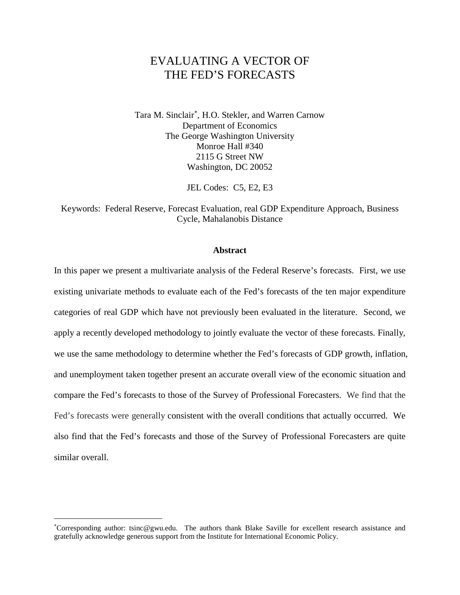## EVALUATING A VECTOR OF THE FED'S FORECASTS

Tara M. Sinclair<sup>\*</sup>, H.O. Stekler, and Warren Carnow Department of Economics The George Washington University Monroe Hall #340 2115 G Street NW Washington, DC 20052

JEL Codes: C5, E2, E3

Keywords: Federal Reserve, Forecast Evaluation, real GDP Expenditure Approach, Business Cycle, Mahalanobis Distance

#### **Abstract**

In this paper we present a multivariate analysis of the Federal Reserve's forecasts. First, we use existing univariate methods to evaluate each of the Fed's forecasts of the ten major expenditure categories of real GDP which have not previously been evaluated in the literature. Second, we apply a recently developed methodology to jointly evaluate the vector of these forecasts. Finally, we use the same methodology to determine whether the Fed's forecasts of GDP growth, inflation, and unemployment taken together present an accurate overall view of the economic situation and compare the Fed's forecasts to those of the Survey of Professional Forecasters. We find that the Fed's forecasts were generally consistent with the overall conditions that actually occurred. We also find that the Fed's forecasts and those of the Survey of Professional Forecasters are quite similar overall.

 $\overline{a}$ 

<span id="page-1-0"></span><sup>∗</sup> Corresponding author: tsinc@gwu.edu. The authors thank Blake Saville for excellent research assistance and gratefully acknowledge generous support from the Institute for International Economic Policy.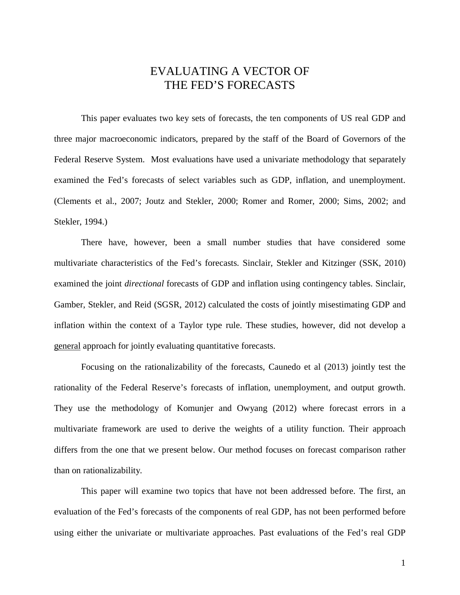## EVALUATING A VECTOR OF THE FED'S FORECASTS

This paper evaluates two key sets of forecasts, the ten components of US real GDP and three major macroeconomic indicators, prepared by the staff of the Board of Governors of the Federal Reserve System. Most evaluations have used a univariate methodology that separately examined the Fed's forecasts of select variables such as GDP, inflation, and unemployment. (Clements et al., 2007; Joutz and Stekler, 2000; Romer and Romer, 2000; Sims, 2002; and Stekler, 1994.)

There have, however, been a small number studies that have considered some multivariate characteristics of the Fed's forecasts. Sinclair, Stekler and Kitzinger (SSK, 2010) examined the joint *directional* forecasts of GDP and inflation using contingency tables. Sinclair, Gamber, Stekler, and Reid (SGSR, 2012) calculated the costs of jointly misestimating GDP and inflation within the context of a Taylor type rule. These studies, however, did not develop a general approach for jointly evaluating quantitative forecasts.

Focusing on the rationalizability of the forecasts, Caunedo et al (2013) jointly test the rationality of the Federal Reserve's forecasts of inflation, unemployment, and output growth. They use the methodology of Komunjer and Owyang (2012) where forecast errors in a multivariate framework are used to derive the weights of a utility function. Their approach differs from the one that we present below. Our method focuses on forecast comparison rather than on rationalizability.

This paper will examine two topics that have not been addressed before. The first, an evaluation of the Fed's forecasts of the components of real GDP, has not been performed before using either the univariate or multivariate approaches. Past evaluations of the Fed's real GDP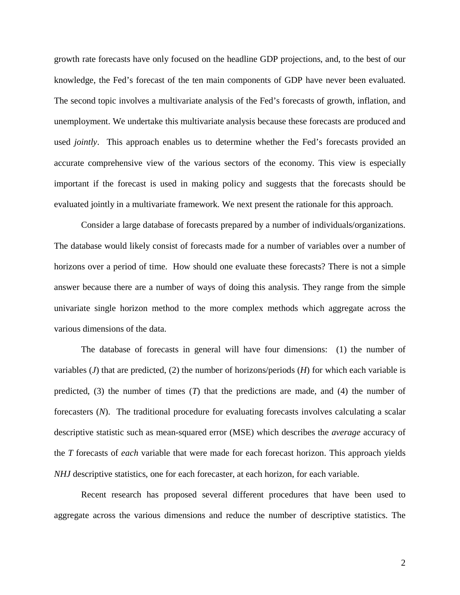growth rate forecasts have only focused on the headline GDP projections, and, to the best of our knowledge, the Fed's forecast of the ten main components of GDP have never been evaluated. The second topic involves a multivariate analysis of the Fed's forecasts of growth, inflation, and unemployment. We undertake this multivariate analysis because these forecasts are produced and used *jointly*. This approach enables us to determine whether the Fed's forecasts provided an accurate comprehensive view of the various sectors of the economy. This view is especially important if the forecast is used in making policy and suggests that the forecasts should be evaluated jointly in a multivariate framework. We next present the rationale for this approach.

Consider a large database of forecasts prepared by a number of individuals/organizations. The database would likely consist of forecasts made for a number of variables over a number of horizons over a period of time. How should one evaluate these forecasts? There is not a simple answer because there are a number of ways of doing this analysis. They range from the simple univariate single horizon method to the more complex methods which aggregate across the various dimensions of the data.

The database of forecasts in general will have four dimensions: (1) the number of variables (*J*) that are predicted, (2) the number of horizons/periods (*H*) for which each variable is predicted, (3) the number of times (*T*) that the predictions are made, and (4) the number of forecasters (*N*). The traditional procedure for evaluating forecasts involves calculating a scalar descriptive statistic such as mean-squared error (MSE) which describes the *average* accuracy of the *T* forecasts of *each* variable that were made for each forecast horizon. This approach yields *NHJ* descriptive statistics, one for each forecaster, at each horizon, for each variable.

Recent research has proposed several different procedures that have been used to aggregate across the various dimensions and reduce the number of descriptive statistics. The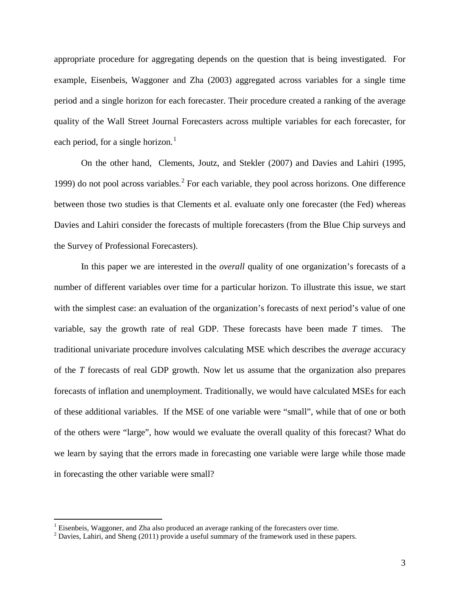appropriate procedure for aggregating depends on the question that is being investigated. For example, Eisenbeis, Waggoner and Zha (2003) aggregated across variables for a single time period and a single horizon for each forecaster. Their procedure created a ranking of the average quality of the Wall Street Journal Forecasters across multiple variables for each forecaster, for each period, for a single horizon. $<sup>1</sup>$  $<sup>1</sup>$  $<sup>1</sup>$ </sup>

On the other hand, Clements, Joutz, and Stekler (2007) and Davies and Lahiri (1995, 1999) do not pool across variables.<sup>[2](#page-4-1)</sup> For each variable, they pool across horizons. One difference between those two studies is that Clements et al. evaluate only one forecaster (the Fed) whereas Davies and Lahiri consider the forecasts of multiple forecasters (from the Blue Chip surveys and the Survey of Professional Forecasters).

In this paper we are interested in the *overall* quality of one organization's forecasts of a number of different variables over time for a particular horizon. To illustrate this issue, we start with the simplest case: an evaluation of the organization's forecasts of next period's value of one variable, say the growth rate of real GDP. These forecasts have been made *T* times. The traditional univariate procedure involves calculating MSE which describes the *average* accuracy of the *T* forecasts of real GDP growth. Now let us assume that the organization also prepares forecasts of inflation and unemployment. Traditionally, we would have calculated MSEs for each of these additional variables. If the MSE of one variable were "small", while that of one or both of the others were "large", how would we evaluate the overall quality of this forecast? What do we learn by saying that the errors made in forecasting one variable were large while those made in forecasting the other variable were small?

<span id="page-4-1"></span><span id="page-4-0"></span><sup>&</sup>lt;sup>1</sup> Eisenbeis, Waggoner, and Zha also produced an average ranking of the forecasters over time.<br><sup>2</sup> Davies, Lahiri, and Sheng (2011) provide a useful summary of the framework used in these papers.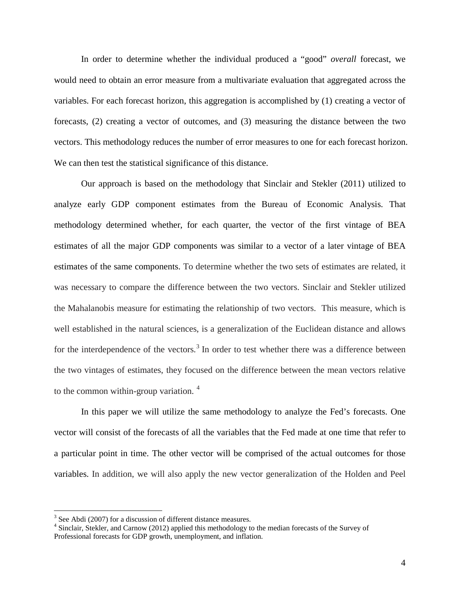In order to determine whether the individual produced a "good" *overall* forecast, we would need to obtain an error measure from a multivariate evaluation that aggregated across the variables. For each forecast horizon, this aggregation is accomplished by (1) creating a vector of forecasts, (2) creating a vector of outcomes, and (3) measuring the distance between the two vectors. This methodology reduces the number of error measures to one for each forecast horizon. We can then test the statistical significance of this distance.

Our approach is based on the methodology that Sinclair and Stekler (2011) utilized to analyze early GDP component estimates from the Bureau of Economic Analysis. That methodology determined whether, for each quarter, the vector of the first vintage of BEA estimates of all the major GDP components was similar to a vector of a later vintage of BEA estimates of the same components. To determine whether the two sets of estimates are related, it was necessary to compare the difference between the two vectors. Sinclair and Stekler utilized the Mahalanobis measure for estimating the relationship of two vectors. This measure, which is well established in the natural sciences, is a generalization of the Euclidean distance and allows for the interdependence of the vectors.<sup>[3](#page-5-0)</sup> In order to test whether there was a difference between the two vintages of estimates, they focused on the difference between the mean vectors relative to the common within-group variation. [4](#page-5-1)

In this paper we will utilize the same methodology to analyze the Fed's forecasts. One vector will consist of the forecasts of all the variables that the Fed made at one time that refer to a particular point in time. The other vector will be comprised of the actual outcomes for those variables. In addition, we will also apply the new vector generalization of the Holden and Peel

<span id="page-5-0"></span> $3$  See Abdi (2007) for a discussion of different distance measures.

<span id="page-5-1"></span><sup>4</sup> Sinclair, Stekler, and Carnow (2012) applied this methodology to the median forecasts of the Survey of Professional forecasts for GDP growth, unemployment, and inflation.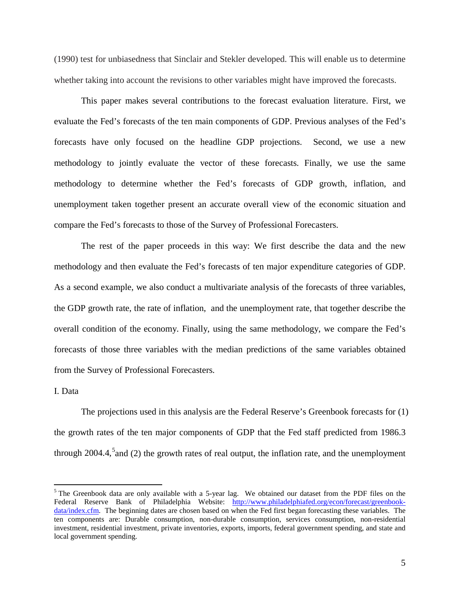(1990) test for unbiasedness that Sinclair and Stekler developed. This will enable us to determine whether taking into account the revisions to other variables might have improved the forecasts.

This paper makes several contributions to the forecast evaluation literature. First, we evaluate the Fed's forecasts of the ten main components of GDP. Previous analyses of the Fed's forecasts have only focused on the headline GDP projections. Second, we use a new methodology to jointly evaluate the vector of these forecasts. Finally, we use the same methodology to determine whether the Fed's forecasts of GDP growth, inflation, and unemployment taken together present an accurate overall view of the economic situation and compare the Fed's forecasts to those of the Survey of Professional Forecasters.

The rest of the paper proceeds in this way: We first describe the data and the new methodology and then evaluate the Fed's forecasts of ten major expenditure categories of GDP. As a second example, we also conduct a multivariate analysis of the forecasts of three variables, the GDP growth rate, the rate of inflation, and the unemployment rate, that together describe the overall condition of the economy. Finally, using the same methodology, we compare the Fed's forecasts of those three variables with the median predictions of the same variables obtained from the Survey of Professional Forecasters.

#### I. Data

The projections used in this analysis are the Federal Reserve's Greenbook forecasts for (1) the growth rates of the ten major components of GDP that the Fed staff predicted from 1986.3 through 2004.4,<sup>[5](#page-6-0)</sup> and (2) the growth rates of real output, the inflation rate, and the unemployment

<span id="page-6-0"></span> $<sup>5</sup>$  The Greenbook data are only available with a 5-year lag. We obtained our dataset from the PDF files on the</sup> Federal Reserve Bank of Philadelphia Website: [http://www.philadelphiafed.org/econ/forecast/greenbook](http://www.philadelphiafed.org/econ/forecast/greenbook-data/index.cfm)[data/index.cfm.](http://www.philadelphiafed.org/econ/forecast/greenbook-data/index.cfm) The beginning dates are chosen based on when the Fed first began forecasting these variables. The ten components are: Durable consumption, non-durable consumption, services consumption, non-residential investment, residential investment, private inventories, exports, imports, federal government spending, and state and local government spending.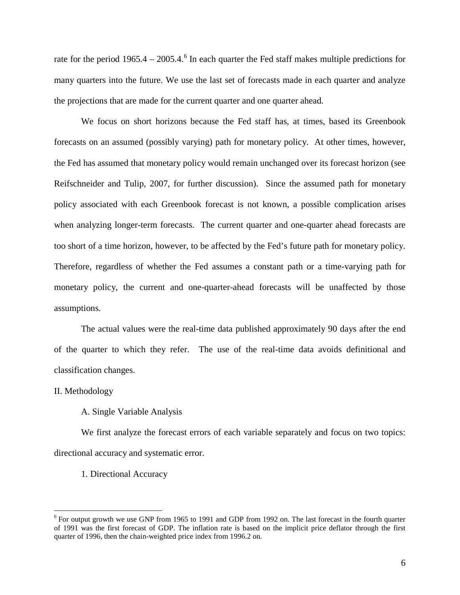rate for the period  $1965.4 - 2005.4$  $1965.4 - 2005.4$  $1965.4 - 2005.4$ <sup>6</sup> In each quarter the Fed staff makes multiple predictions for many quarters into the future. We use the last set of forecasts made in each quarter and analyze the projections that are made for the current quarter and one quarter ahead.

We focus on short horizons because the Fed staff has, at times, based its Greenbook forecasts on an assumed (possibly varying) path for monetary policy. At other times, however, the Fed has assumed that monetary policy would remain unchanged over its forecast horizon (see Reifschneider and Tulip, 2007, for further discussion). Since the assumed path for monetary policy associated with each Greenbook forecast is not known, a possible complication arises when analyzing longer-term forecasts. The current quarter and one-quarter ahead forecasts are too short of a time horizon, however, to be affected by the Fed's future path for monetary policy. Therefore, regardless of whether the Fed assumes a constant path or a time-varying path for monetary policy, the current and one-quarter-ahead forecasts will be unaffected by those assumptions.

The actual values were the real-time data published approximately 90 days after the end of the quarter to which they refer. The use of the real-time data avoids definitional and classification changes.

#### II. Methodology

#### A. Single Variable Analysis

We first analyze the forecast errors of each variable separately and focus on two topics: directional accuracy and systematic error.

#### 1. Directional Accuracy

<span id="page-7-0"></span><sup>&</sup>lt;sup>6</sup> For output growth we use GNP from 1965 to 1991 and GDP from 1992 on. The last forecast in the fourth quarter of 1991 was the first forecast of GDP. The inflation rate is based on the implicit price deflator through the first quarter of 1996, then the chain-weighted price index from 1996.2 on.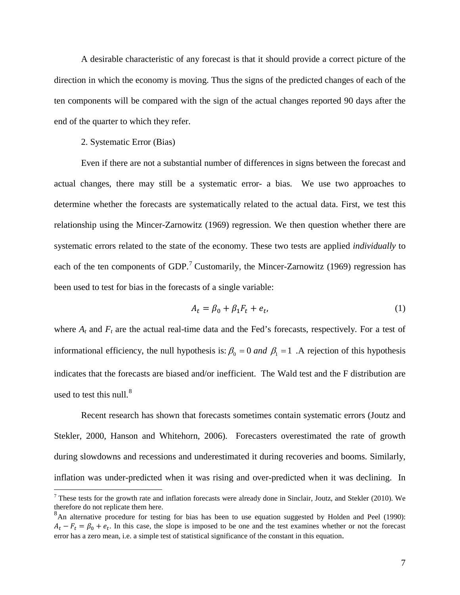A desirable characteristic of any forecast is that it should provide a correct picture of the direction in which the economy is moving. Thus the signs of the predicted changes of each of the ten components will be compared with the sign of the actual changes reported 90 days after the end of the quarter to which they refer.

2. Systematic Error (Bias)

Even if there are not a substantial number of differences in signs between the forecast and actual changes, there may still be a systematic error- a bias. We use two approaches to determine whether the forecasts are systematically related to the actual data. First, we test this relationship using the Mincer-Zarnowitz (1969) regression. We then question whether there are systematic errors related to the state of the economy. These two tests are applied *individually* to each of the ten components of GDP.<sup>[7](#page-8-0)</sup> Customarily, the Mincer-Zarnowitz (1969) regression has been used to test for bias in the forecasts of a single variable:

$$
A_t = \beta_0 + \beta_1 F_t + e_t, \tag{1}
$$

where  $A_t$  and  $F_t$  are the actual real-time data and the Fed's forecasts, respectively. For a test of informational efficiency, the null hypothesis is:  $\beta_0 = 0$  and  $\beta_1 = 1$ . A rejection of this hypothesis indicates that the forecasts are biased and/or inefficient. The Wald test and the F distribution are used to test this null. $8$ 

Recent research has shown that forecasts sometimes contain systematic errors (Joutz and Stekler, 2000, Hanson and Whitehorn, 2006). Forecasters overestimated the rate of growth during slowdowns and recessions and underestimated it during recoveries and booms. Similarly, inflation was under-predicted when it was rising and over-predicted when it was declining. In

<span id="page-8-0"></span> $<sup>7</sup>$  These tests for the growth rate and inflation forecasts were already done in Sinclair, Joutz, and Stekler (2010). We</sup> therefore do not replicate them here.

<span id="page-8-1"></span><sup>&</sup>lt;sup>8</sup>An alternative procedure for testing for bias has been to use equation suggested by Holden and Peel (1990):  $A_t - F_t = \beta_0 + e_t$ . In this case, the slope is imposed to be one and the test examines whether or not the forecast error has a zero mean, i.e. a simple test of statistical significance of the constant in this equation.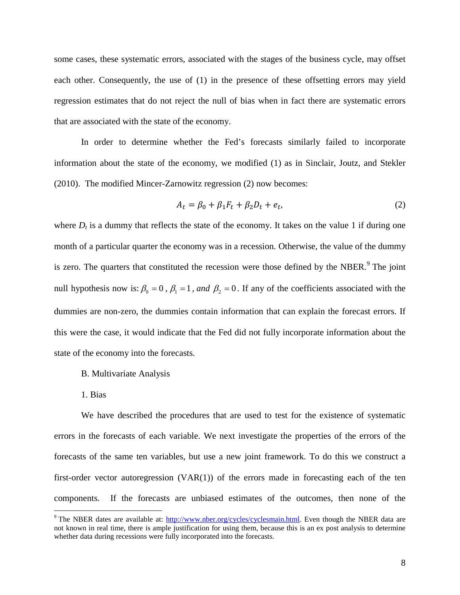some cases, these systematic errors, associated with the stages of the business cycle, may offset each other. Consequently, the use of (1) in the presence of these offsetting errors may yield regression estimates that do not reject the null of bias when in fact there are systematic errors that are associated with the state of the economy.

In order to determine whether the Fed's forecasts similarly failed to incorporate information about the state of the economy, we modified (1) as in Sinclair, Joutz, and Stekler (2010). The modified Mincer-Zarnowitz regression (2) now becomes:

$$
A_t = \beta_0 + \beta_1 F_t + \beta_2 D_t + e_t,\tag{2}
$$

where  $D_t$  is a dummy that reflects the state of the economy. It takes on the value 1 if during one month of a particular quarter the economy was in a recession. Otherwise, the value of the dummy is zero. The quarters that constituted the recession were those defined by the NBER. $9$  The joint null hypothesis now is:  $\beta_0 = 0$ ,  $\beta_1 = 1$ , and  $\beta_2 = 0$ . If any of the coefficients associated with the dummies are non-zero, the dummies contain information that can explain the forecast errors. If this were the case, it would indicate that the Fed did not fully incorporate information about the state of the economy into the forecasts.

- B. Multivariate Analysis
- 1. Bias

We have described the procedures that are used to test for the existence of systematic errors in the forecasts of each variable. We next investigate the properties of the errors of the forecasts of the same ten variables, but use a new joint framework. To do this we construct a first-order vector autoregression  $(VAR(1))$  of the errors made in forecasting each of the ten components. If the forecasts are unbiased estimates of the outcomes, then none of the

<span id="page-9-0"></span><sup>&</sup>lt;sup>9</sup> The NBER dates are available at: [http://www.nber.org/cycles/cyclesmain.html.](http://www.nber.org/cycles/cyclesmain.html) Even though the NBER data are not known in real time, there is ample justification for using them, because this is an ex post analysis to determine whether data during recessions were fully incorporated into the forecasts.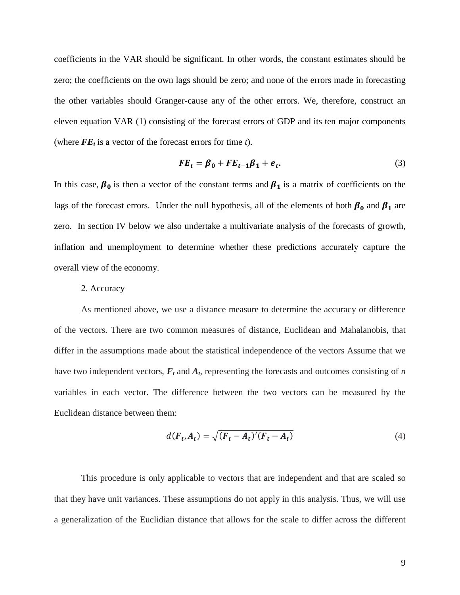coefficients in the VAR should be significant. In other words, the constant estimates should be zero; the coefficients on the own lags should be zero; and none of the errors made in forecasting the other variables should Granger-cause any of the other errors. We, therefore, construct an eleven equation VAR (1) consisting of the forecast errors of GDP and its ten major components (where  $FE<sub>t</sub>$  is a vector of the forecast errors for time *t*).

$$
FE_t = \beta_0 + FE_{t-1}\beta_1 + e_t.
$$
 (3)

In this case,  $\beta_0$  is then a vector of the constant terms and  $\beta_1$  is a matrix of coefficients on the lags of the forecast errors. Under the null hypothesis, all of the elements of both  $\beta_0$  and  $\beta_1$  are zero. In section IV below we also undertake a multivariate analysis of the forecasts of growth, inflation and unemployment to determine whether these predictions accurately capture the overall view of the economy.

#### 2. Accuracy

As mentioned above, we use a distance measure to determine the accuracy or difference of the vectors. There are two common measures of distance, Euclidean and Mahalanobis, that differ in the assumptions made about the statistical independence of the vectors Assume that we have two independent vectors,  $F_t$  and  $A_t$ , representing the forecasts and outcomes consisting of *n* variables in each vector. The difference between the two vectors can be measured by the Euclidean distance between them:

$$
d(F_t, A_t) = \sqrt{(F_t - A_t)'(F_t - A_t)}\tag{4}
$$

This procedure is only applicable to vectors that are independent and that are scaled so that they have unit variances. These assumptions do not apply in this analysis. Thus, we will use a generalization of the Euclidian distance that allows for the scale to differ across the different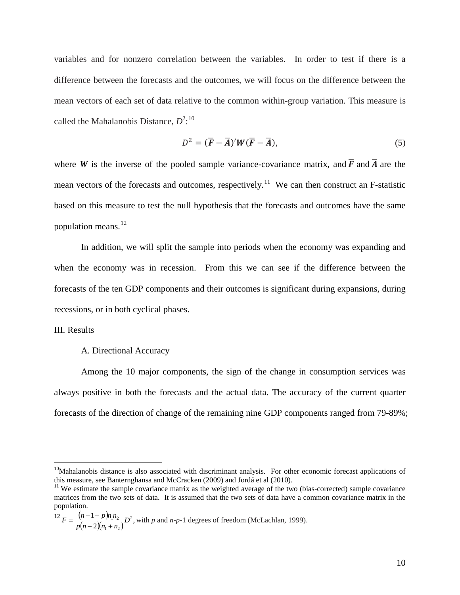variables and for nonzero correlation between the variables. In order to test if there is a difference between the forecasts and the outcomes, we will focus on the difference between the mean vectors of each set of data relative to the common within-group variation. This measure is called the Mahalanobis Distance,  $D^2$ <sup>[10](#page-11-0)</sup>

$$
D^2 = (\overline{F} - \overline{A})' W (\overline{F} - \overline{A}), \tag{5}
$$

where *W* is the inverse of the pooled sample variance-covariance matrix, and  $\overline{F}$  and  $\overline{A}$  are the mean vectors of the forecasts and outcomes, respectively.<sup>[11](#page-11-1)</sup> We can then construct an F-statistic based on this measure to test the null hypothesis that the forecasts and outcomes have the same population means. $^{12}$  $^{12}$  $^{12}$ 

In addition, we will split the sample into periods when the economy was expanding and when the economy was in recession. From this we can see if the difference between the forecasts of the ten GDP components and their outcomes is significant during expansions, during recessions, or in both cyclical phases.

#### III. Results

#### A. Directional Accuracy

Among the 10 major components, the sign of the change in consumption services was always positive in both the forecasts and the actual data. The accuracy of the current quarter forecasts of the direction of change of the remaining nine GDP components ranged from 79-89%;

<span id="page-11-2"></span>
$$
^{12}F = \frac{(n-1-p)n_1n_2}{p(n-2)(n_1+n_2)}D^2
$$
, with *p* and *n-p-1* degrees of freedom (McLachlan, 1999).

<span id="page-11-0"></span><sup>&</sup>lt;sup>10</sup>Mahalanobis distance is also associated with discriminant analysis. For other economic forecast applications of this measure, see Banternghansa and McCracken (2009) and Jordá et al (2010).

<span id="page-11-1"></span><sup>&</sup>lt;sup>11</sup> We estimate the sample covariance matrix as the weighted average of the two (bias-corrected) sample covariance matrices from the two sets of data. It is assumed that the two sets of data have a common covariance matrix in the population.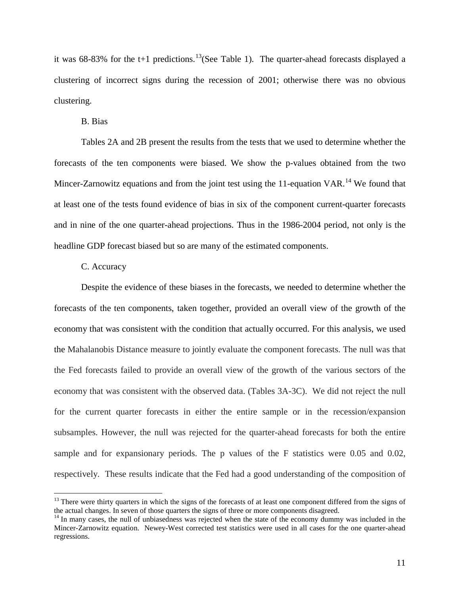it was 68-83% for the t+1 predictions.<sup>13</sup> (See Table 1). The quarter-ahead forecasts displayed a clustering of incorrect signs during the recession of 2001; otherwise there was no obvious clustering.

B. Bias

Tables 2A and 2B present the results from the tests that we used to determine whether the forecasts of the ten components were biased. We show the p-values obtained from the two Mincer-Zarnowitz equations and from the joint test using the 11-equation VAR.<sup>[14](#page-12-1)</sup> We found that at least one of the tests found evidence of bias in six of the component current-quarter forecasts and in nine of the one quarter-ahead projections. Thus in the 1986-2004 period, not only is the headline GDP forecast biased but so are many of the estimated components.

#### C. Accuracy

Despite the evidence of these biases in the forecasts, we needed to determine whether the forecasts of the ten components, taken together, provided an overall view of the growth of the economy that was consistent with the condition that actually occurred. For this analysis, we used the Mahalanobis Distance measure to jointly evaluate the component forecasts. The null was that the Fed forecasts failed to provide an overall view of the growth of the various sectors of the economy that was consistent with the observed data. (Tables 3A-3C). We did not reject the null for the current quarter forecasts in either the entire sample or in the recession/expansion subsamples. However, the null was rejected for the quarter-ahead forecasts for both the entire sample and for expansionary periods. The p values of the F statistics were 0.05 and 0.02, respectively. These results indicate that the Fed had a good understanding of the composition of

<span id="page-12-0"></span><sup>&</sup>lt;sup>13</sup> There were thirty quarters in which the signs of the forecasts of at least one component differed from the signs of the actual changes. In seven of those quarters the signs of three or more components disagreed.

<span id="page-12-1"></span><sup>&</sup>lt;sup>14</sup> In many cases, the null of unbiasedness was rejected when the state of the economy dummy was included in the Mincer-Zarnowitz equation. Newey-West corrected test statistics were used in all cases for the one quarter-ahead regressions.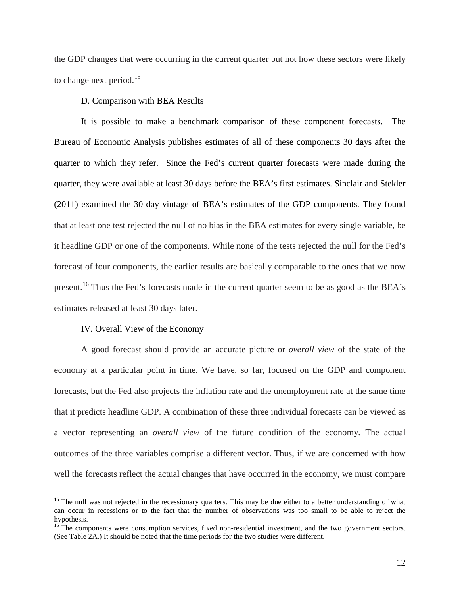the GDP changes that were occurring in the current quarter but not how these sectors were likely to change next period.<sup>[15](#page-13-0)</sup>

#### D. Comparison with BEA Results

It is possible to make a benchmark comparison of these component forecasts. The Bureau of Economic Analysis publishes estimates of all of these components 30 days after the quarter to which they refer. Since the Fed's current quarter forecasts were made during the quarter, they were available at least 30 days before the BEA's first estimates. Sinclair and Stekler (2011) examined the 30 day vintage of BEA's estimates of the GDP components. They found that at least one test rejected the null of no bias in the BEA estimates for every single variable, be it headline GDP or one of the components. While none of the tests rejected the null for the Fed's forecast of four components, the earlier results are basically comparable to the ones that we now present.<sup>[16](#page-13-1)</sup> Thus the Fed's forecasts made in the current quarter seem to be as good as the BEA's estimates released at least 30 days later.

#### IV. Overall View of the Economy

A good forecast should provide an accurate picture or *overall view* of the state of the economy at a particular point in time. We have, so far, focused on the GDP and component forecasts, but the Fed also projects the inflation rate and the unemployment rate at the same time that it predicts headline GDP. A combination of these three individual forecasts can be viewed as a vector representing an *overall view* of the future condition of the economy. The actual outcomes of the three variables comprise a different vector. Thus, if we are concerned with how well the forecasts reflect the actual changes that have occurred in the economy, we must compare

<span id="page-13-0"></span> $15$  The null was not rejected in the recessionary quarters. This may be due either to a better understanding of what can occur in recessions or to the fact that the number of observations was too small to be able to reject the hypothesis.

<span id="page-13-1"></span><sup>&</sup>lt;sup>16</sup> The components were consumption services, fixed non-residential investment, and the two government sectors. (See Table 2A.) It should be noted that the time periods for the two studies were different.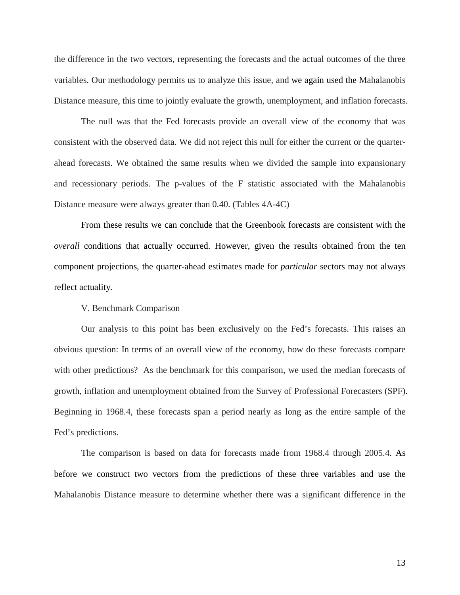the difference in the two vectors, representing the forecasts and the actual outcomes of the three variables. Our methodology permits us to analyze this issue, and we again used the Mahalanobis Distance measure, this time to jointly evaluate the growth, unemployment, and inflation forecasts.

The null was that the Fed forecasts provide an overall view of the economy that was consistent with the observed data. We did not reject this null for either the current or the quarterahead forecasts. We obtained the same results when we divided the sample into expansionary and recessionary periods. The p-values of the F statistic associated with the Mahalanobis Distance measure were always greater than 0.40. (Tables 4A-4C)

From these results we can conclude that the Greenbook forecasts are consistent with the *overall* conditions that actually occurred. However, given the results obtained from the ten component projections, the quarter-ahead estimates made for *particular* sectors may not always reflect actuality.

#### V. Benchmark Comparison

Our analysis to this point has been exclusively on the Fed's forecasts. This raises an obvious question: In terms of an overall view of the economy, how do these forecasts compare with other predictions? As the benchmark for this comparison, we used the median forecasts of growth, inflation and unemployment obtained from the Survey of Professional Forecasters (SPF). Beginning in 1968.4, these forecasts span a period nearly as long as the entire sample of the Fed's predictions.

The comparison is based on data for forecasts made from 1968.4 through 2005.4. As before we construct two vectors from the predictions of these three variables and use the Mahalanobis Distance measure to determine whether there was a significant difference in the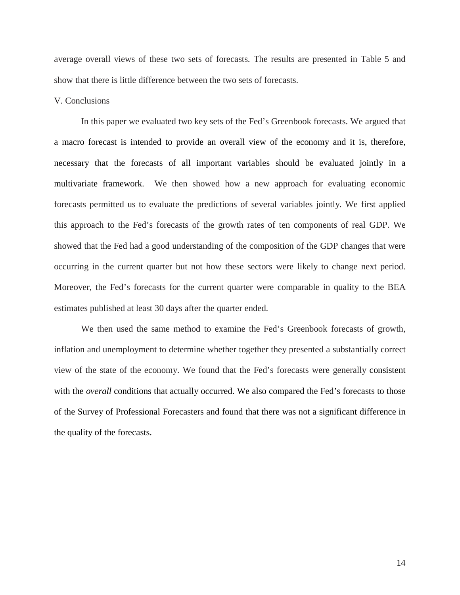average overall views of these two sets of forecasts. The results are presented in Table 5 and show that there is little difference between the two sets of forecasts.

#### V. Conclusions

In this paper we evaluated two key sets of the Fed's Greenbook forecasts. We argued that a macro forecast is intended to provide an overall view of the economy and it is, therefore, necessary that the forecasts of all important variables should be evaluated jointly in a multivariate framework. We then showed how a new approach for evaluating economic forecasts permitted us to evaluate the predictions of several variables jointly. We first applied this approach to the Fed's forecasts of the growth rates of ten components of real GDP. We showed that the Fed had a good understanding of the composition of the GDP changes that were occurring in the current quarter but not how these sectors were likely to change next period. Moreover, the Fed's forecasts for the current quarter were comparable in quality to the BEA estimates published at least 30 days after the quarter ended.

We then used the same method to examine the Fed's Greenbook forecasts of growth, inflation and unemployment to determine whether together they presented a substantially correct view of the state of the economy. We found that the Fed's forecasts were generally consistent with the *overall* conditions that actually occurred. We also compared the Fed's forecasts to those of the Survey of Professional Forecasters and found that there was not a significant difference in the quality of the forecasts.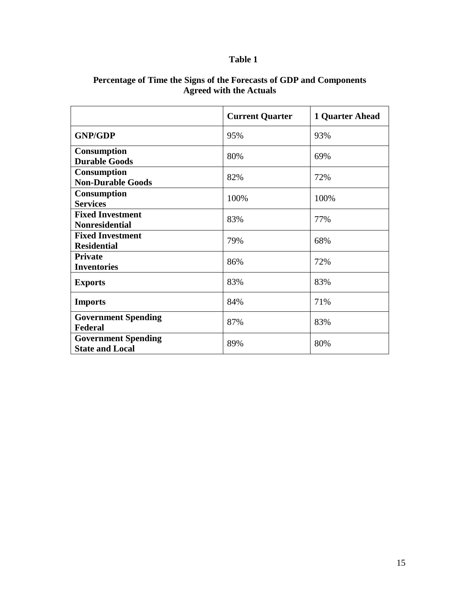### **Table 1**

|                                                      | <b>Current Quarter</b> | 1 Quarter Ahead |
|------------------------------------------------------|------------------------|-----------------|
| <b>GNP/GDP</b>                                       | 95%                    | 93%             |
| Consumption<br><b>Durable Goods</b>                  | 80%                    | 69%             |
| Consumption<br><b>Non-Durable Goods</b>              | 82%                    | 72%             |
| <b>Consumption</b><br><b>Services</b>                | 100%                   | 100%            |
| <b>Fixed Investment</b><br><b>Nonresidential</b>     | 83%                    | 77%             |
| <b>Fixed Investment</b><br><b>Residential</b>        | 79%                    | 68%             |
| <b>Private</b><br><b>Inventories</b>                 | 86%                    | 72%             |
| <b>Exports</b>                                       | 83%                    | 83%             |
| <b>Imports</b>                                       | 84%                    | 71%             |
| <b>Government Spending</b><br><b>Federal</b>         | 87%                    | 83%             |
| <b>Government Spending</b><br><b>State and Local</b> | 89%                    | 80%             |

#### **Percentage of Time the Signs of the Forecasts of GDP and Components Agreed with the Actuals**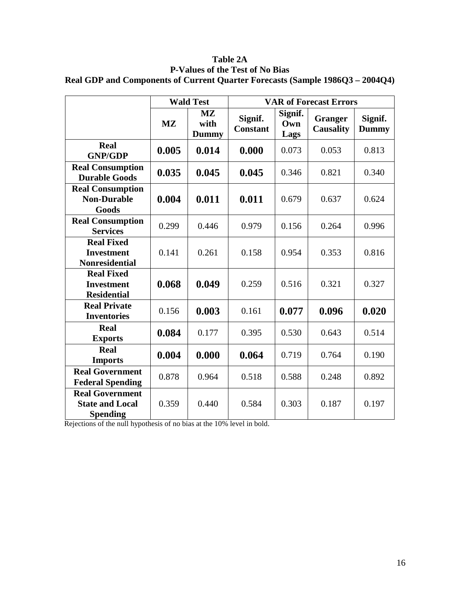|                                                                     |           | <b>Wald Test</b>                                          |                            | <b>VAR of Forecast Errors</b> |                                    |                         |  |
|---------------------------------------------------------------------|-----------|-----------------------------------------------------------|----------------------------|-------------------------------|------------------------------------|-------------------------|--|
|                                                                     | <b>MZ</b> | $\overline{\mathbf{M}\mathbf{Z}}$<br>with<br><b>Dummy</b> | Signif.<br><b>Constant</b> | Signif.<br>Own<br>Lags        | <b>Granger</b><br><b>Causality</b> | Signif.<br><b>Dummy</b> |  |
| <b>Real</b><br><b>GNP/GDP</b>                                       | 0.005     | 0.014                                                     | 0.000                      | 0.073                         | 0.053                              | 0.813                   |  |
| <b>Real Consumption</b><br><b>Durable Goods</b>                     | 0.035     | 0.045                                                     | 0.045                      | 0.346                         | 0.821                              | 0.340                   |  |
| <b>Real Consumption</b><br><b>Non-Durable</b><br>Goods              | 0.004     | 0.011                                                     | 0.011                      | 0.679                         | 0.637                              | 0.624                   |  |
| <b>Real Consumption</b><br><b>Services</b>                          | 0.299     | 0.446                                                     | 0.979                      | 0.156                         | 0.264                              | 0.996                   |  |
| <b>Real Fixed</b><br><b>Investment</b><br><b>Nonresidential</b>     | 0.141     | 0.261                                                     | 0.158                      | 0.954                         | 0.353                              | 0.816                   |  |
| <b>Real Fixed</b><br><b>Investment</b><br><b>Residential</b>        | 0.068     | 0.049                                                     | 0.259                      | 0.516                         | 0.321                              | 0.327                   |  |
| <b>Real Private</b><br><b>Inventories</b>                           | 0.156     | 0.003                                                     | 0.161                      | 0.077                         | 0.096                              | 0.020                   |  |
| <b>Real</b><br><b>Exports</b>                                       | 0.084     | 0.177                                                     | 0.395                      | 0.530                         | 0.643                              | 0.514                   |  |
| <b>Real</b><br><b>Imports</b>                                       | 0.004     | 0.000                                                     | 0.064                      | 0.719                         | 0.764                              | 0.190                   |  |
| <b>Real Government</b><br><b>Federal Spending</b>                   | 0.878     | 0.964                                                     | 0.518                      | 0.588                         | 0.248                              | 0.892                   |  |
| <b>Real Government</b><br><b>State and Local</b><br><b>Spending</b> | 0.359     | 0.440                                                     | 0.584                      | 0.303                         | 0.187                              | 0.197                   |  |

**Table 2A P-Values of the Test of No Bias Real GDP and Components of Current Quarter Forecasts (Sample 1986Q3 – 2004Q4)**

Rejections of the null hypothesis of no bias at the 10% level in bold.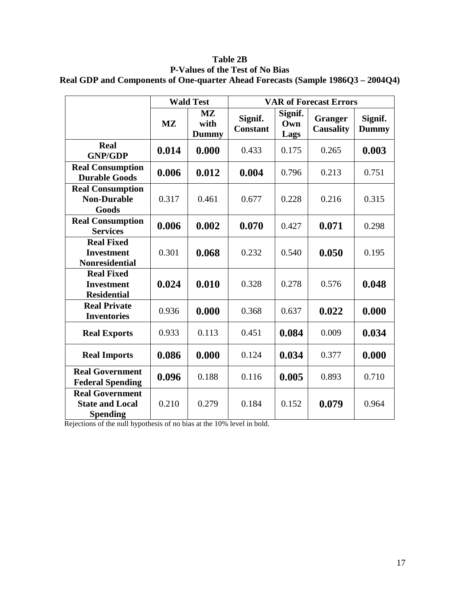|                                                                     |           | <b>Wald Test</b>                                | <b>VAR of Forecast Errors</b> |                        |                                    |                         |
|---------------------------------------------------------------------|-----------|-------------------------------------------------|-------------------------------|------------------------|------------------------------------|-------------------------|
|                                                                     | <b>MZ</b> | $\mathbf{M} \mathbf{Z}$<br>with<br><b>Dummy</b> | Signif.<br><b>Constant</b>    | Signif.<br>Own<br>Lags | <b>Granger</b><br><b>Causality</b> | Signif.<br><b>Dummy</b> |
| Real<br><b>GNP/GDP</b>                                              | 0.014     | 0.000                                           | 0.433                         | 0.175                  | 0.265                              | 0.003                   |
| <b>Real Consumption</b><br><b>Durable Goods</b>                     | 0.006     | 0.012                                           | 0.004                         | 0.796                  | 0.213                              | 0.751                   |
| <b>Real Consumption</b><br><b>Non-Durable</b><br>Goods              | 0.317     | 0.461                                           | 0.677                         | 0.228                  | 0.216                              | 0.315                   |
| <b>Real Consumption</b><br><b>Services</b>                          | 0.006     | 0.002                                           | 0.070                         | 0.427                  | 0.071                              | 0.298                   |
| <b>Real Fixed</b><br><b>Investment</b><br><b>Nonresidential</b>     | 0.301     | 0.068                                           | 0.232                         | 0.540                  | 0.050                              | 0.195                   |
| <b>Real Fixed</b><br><b>Investment</b><br><b>Residential</b>        | 0.024     | 0.010                                           | 0.328                         | 0.278                  | 0.576                              | 0.048                   |
| <b>Real Private</b><br><b>Inventories</b>                           | 0.936     | 0.000                                           | 0.368                         | 0.637                  | 0.022                              | 0.000                   |
| <b>Real Exports</b>                                                 | 0.933     | 0.113                                           | 0.451                         | 0.084                  | 0.009                              | 0.034                   |
| <b>Real Imports</b>                                                 | 0.086     | 0.000                                           | 0.124                         | 0.034                  | 0.377                              | 0.000                   |
| <b>Real Government</b><br><b>Federal Spending</b>                   | 0.096     | 0.188                                           | 0.116                         | 0.005                  | 0.893                              | 0.710                   |
| <b>Real Government</b><br><b>State and Local</b><br><b>Spending</b> | 0.210     | 0.279                                           | 0.184                         | 0.152                  | 0.079                              | 0.964                   |

**Table 2B P-Values of the Test of No Bias Real GDP and Components of One-quarter Ahead Forecasts (Sample 1986Q3 – 2004Q4)**

Rejections of the null hypothesis of no bias at the 10% level in bold.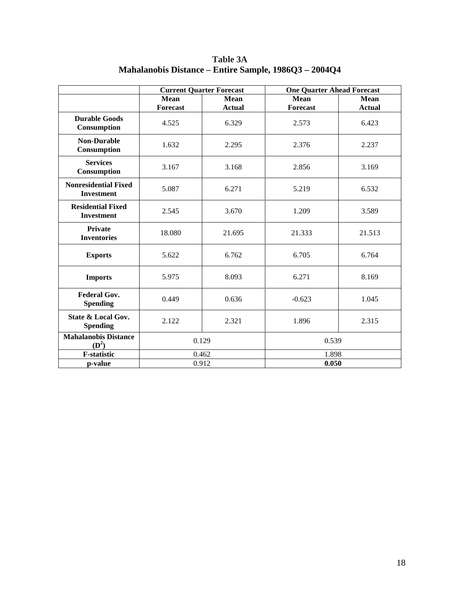|                                                  |          | <b>Current Quarter Forecast</b> | <b>One Quarter Ahead Forecast</b> |               |  |
|--------------------------------------------------|----------|---------------------------------|-----------------------------------|---------------|--|
|                                                  | Mean     | Mean                            | <b>Mean</b>                       | <b>Mean</b>   |  |
|                                                  | Forecast | <b>Actual</b>                   | Forecast                          | <b>Actual</b> |  |
| <b>Durable Goods</b><br>Consumption              | 4.525    | 6.329                           | 2.573                             | 6.423         |  |
| <b>Non-Durable</b><br>Consumption                | 1.632    | 2.295                           | 2.376                             | 2.237         |  |
| <b>Services</b><br>Consumption                   | 3.167    | 3.168                           | 2.856                             | 3.169         |  |
| <b>Nonresidential Fixed</b><br><b>Investment</b> | 5.087    | 6.271                           | 5.219                             | 6.532         |  |
| <b>Residential Fixed</b><br><b>Investment</b>    | 2.545    | 3.670                           | 1.209                             | 3.589         |  |
| <b>Private</b><br><b>Inventories</b>             | 18.080   | 21.695                          | 21.333                            | 21.513        |  |
| <b>Exports</b>                                   | 5.622    | 6.762                           | 6.705                             | 6.764         |  |
| <b>Imports</b>                                   | 5.975    | 8.093                           | 6.271                             | 8.169         |  |
| <b>Federal Gov.</b><br><b>Spending</b>           | 0.449    | 0.636                           | $-0.623$                          | 1.045         |  |
| State & Local Gov.<br><b>Spending</b>            | 2.122    | 2.321                           | 1.896                             | 2.315         |  |
| <b>Mahalanobis Distance</b><br>$(D^2)$           | 0.129    |                                 | 0.539                             |               |  |
| <b>F-statistic</b>                               |          | 0.462                           | 1.898                             |               |  |
| p-value                                          | 0.912    |                                 | 0.050                             |               |  |

**Table 3A Mahalanobis Distance – Entire Sample, 1986Q3 – 2004Q4**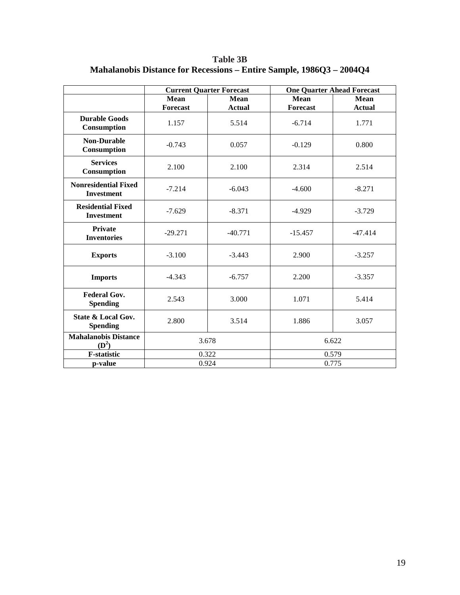**Table 3B Mahalanobis Distance for Recessions – Entire Sample, 1986Q3 – 2004Q4**

|                                                  |                     | <b>Current Quarter Forecast</b> |                 | <b>One Quarter Ahead Forecast</b> |  |  |
|--------------------------------------------------|---------------------|---------------------------------|-----------------|-----------------------------------|--|--|
|                                                  | Mean<br><b>Mean</b> |                                 | Mean            | Mean                              |  |  |
|                                                  | <b>Forecast</b>     | <b>Actual</b>                   | <b>Forecast</b> | <b>Actual</b>                     |  |  |
| <b>Durable Goods</b><br>Consumption              | 1.157               | 5.514                           | $-6.714$        | 1.771                             |  |  |
| <b>Non-Durable</b><br><b>Consumption</b>         | $-0.743$            | 0.057                           | $-0.129$        | 0.800                             |  |  |
| <b>Services</b><br>Consumption                   | 2.100               | 2.100                           | 2.314           | 2.514                             |  |  |
| <b>Nonresidential Fixed</b><br><b>Investment</b> | $-7.214$            | $-6.043$                        | $-4.600$        | $-8.271$                          |  |  |
| <b>Residential Fixed</b><br><b>Investment</b>    | $-7.629$            | $-8.371$                        | $-4.929$        | $-3.729$                          |  |  |
| <b>Private</b><br><b>Inventories</b>             | $-29.271$           | $-40.771$                       | $-15.457$       | $-47.414$                         |  |  |
| <b>Exports</b>                                   | $-3.100$            | $-3.443$                        | 2.900           | $-3.257$                          |  |  |
| <b>Imports</b>                                   | $-4.343$            | $-6.757$                        | 2.200           | $-3.357$                          |  |  |
| <b>Federal Gov.</b><br><b>Spending</b>           | 2.543               | 3.000                           | 1.071           | 5.414                             |  |  |
| State & Local Gov.<br><b>Spending</b>            | 2.800               | 3.514                           | 1.886           | 3.057                             |  |  |
| <b>Mahalanobis Distance</b><br>$(D^2)$           | 3.678               |                                 | 6.622           |                                   |  |  |
| F-statistic                                      | 0.322               |                                 | 0.579           |                                   |  |  |
| p-value                                          | 0.924               |                                 | 0.775           |                                   |  |  |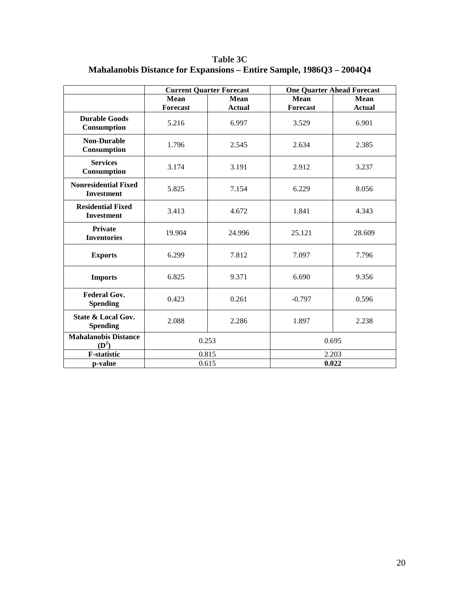**Table 3C Mahalanobis Distance for Expansions – Entire Sample, 1986Q3 – 2004Q4**

|                                                  |                 | <b>Current Quarter Forecast</b> |                 | <b>One Quarter Ahead Forecast</b> |  |
|--------------------------------------------------|-----------------|---------------------------------|-----------------|-----------------------------------|--|
|                                                  | Mean            | <b>Mean</b>                     | Mean            | Mean                              |  |
|                                                  | <b>Forecast</b> | <b>Actual</b>                   | <b>Forecast</b> | <b>Actual</b>                     |  |
| <b>Durable Goods</b><br>Consumption              | 5.216           | 6.997                           | 3.529           | 6.901                             |  |
| <b>Non-Durable</b><br>Consumption                | 1.796           | 2.545                           | 2.634           | 2.385                             |  |
| <b>Services</b><br>Consumption                   | 3.174           | 3.191                           | 2.912           | 3.237                             |  |
| <b>Nonresidential Fixed</b><br><b>Investment</b> | 5.825           | 7.154                           | 6.229           | 8.056                             |  |
| <b>Residential Fixed</b><br><b>Investment</b>    | 3.413           | 4.672                           | 1.841           | 4.343                             |  |
| <b>Private</b><br><b>Inventories</b>             | 19.904          | 24.996                          | 25.121          | 28.609                            |  |
| <b>Exports</b>                                   | 6.299           | 7.812                           | 7.097           | 7.796                             |  |
| <b>Imports</b>                                   | 6.825           | 9.371                           | 6.690           | 9.356                             |  |
| <b>Federal Gov.</b><br><b>Spending</b>           | 0.423           | 0.261                           | $-0.797$        | 0.596                             |  |
| <b>State &amp; Local Gov.</b><br><b>Spending</b> | 2.088           | 2.286                           | 1.897           | 2.238                             |  |
| <b>Mahalanobis Distance</b><br>$(D^2)$           | 0.253           |                                 | 0.695           |                                   |  |
| <b>F-statistic</b>                               |                 | 0.815                           | 2.203           |                                   |  |
| p-value                                          | 0.615           |                                 | 0.022           |                                   |  |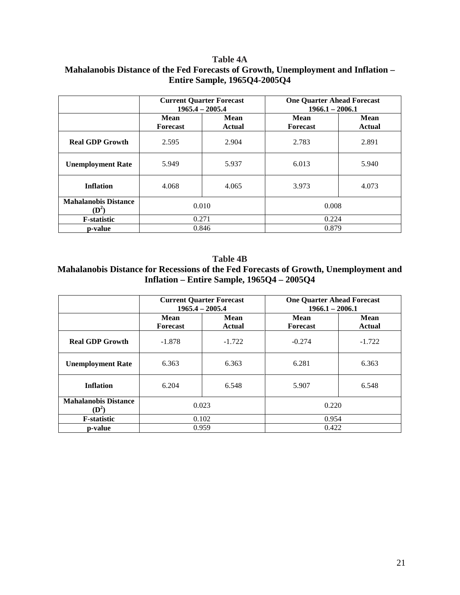#### **Table 4A Mahalanobis Distance of the Fed Forecasts of Growth, Unemployment and Inflation – Entire Sample, 1965Q4-2005Q4**

|                                                 | <b>Current Quarter Forecast</b><br>$1965.4 - 2005.4$ |                              | <b>One Quarter Ahead Forecast</b><br>$1966.1 - 2006.1$ |                       |
|-------------------------------------------------|------------------------------------------------------|------------------------------|--------------------------------------------------------|-----------------------|
|                                                 | Mean<br><b>Forecast</b>                              | <b>Mean</b><br><b>Actual</b> | Mean<br><b>Forecast</b>                                | <b>Mean</b><br>Actual |
| <b>Real GDP Growth</b>                          | 2.595                                                | 2.904                        | 2.783                                                  | 2.891                 |
| <b>Unemployment Rate</b>                        | 5.949                                                | 5.937                        | 6.013                                                  | 5.940                 |
| <b>Inflation</b>                                | 4.068                                                | 4.065                        | 3.973                                                  | 4.073                 |
| <b>Mahalanobis Distance</b><br>$(\mathbf{D}^2)$ | 0.010                                                |                              | 0.008                                                  |                       |
| <b>F</b> -statistic                             | 0.271                                                |                              | 0.224                                                  |                       |
| p-value                                         |                                                      | 0.846                        | 0.879                                                  |                       |

**Table 4B Mahalanobis Distance for Recessions of the Fed Forecasts of Growth, Unemployment and Inflation – Entire Sample, 1965Q4 – 2005Q4**

|                                               | <b>Current Quarter Forecast</b><br>$1965.4 - 2005.4$ |                       | <b>One Quarter Ahead Forecast</b><br>$1966.1 - 2006.1$ |                       |
|-----------------------------------------------|------------------------------------------------------|-----------------------|--------------------------------------------------------|-----------------------|
|                                               | Mean<br><b>Forecast</b>                              | Mean<br><b>Actual</b> | Mean<br><b>Forecast</b>                                | <b>Mean</b><br>Actual |
| <b>Real GDP Growth</b>                        | $-1.878$                                             | $-1.722$              | $-0.274$                                               | $-1.722$              |
| <b>Unemployment Rate</b>                      | 6.363                                                | 6.363                 | 6.281                                                  | 6.363                 |
| <b>Inflation</b>                              | 6.204                                                | 6.548                 | 5.907                                                  | 6.548                 |
| <b>Mahalanobis Distance</b><br>$\mathbf{D}^2$ | 0.023                                                |                       | 0.220                                                  |                       |
| <b>F</b> -statistic                           | 0.102                                                |                       | 0.954                                                  |                       |
| p-value                                       |                                                      | 0.959                 | 0.422                                                  |                       |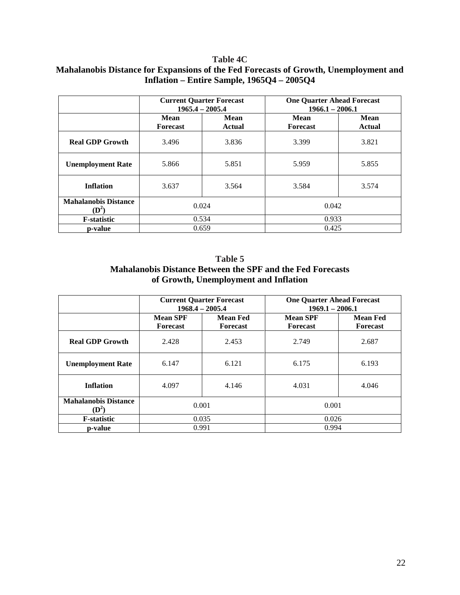#### **Table 4C Mahalanobis Distance for Expansions of the Fed Forecasts of Growth, Unemployment and Inflation – Entire Sample, 1965Q4 – 2005Q4**

|                                        | <b>Current Quarter Forecast</b><br>$1965.4 - 2005.4$ |                       | <b>One Quarter Ahead Forecast</b><br>$1966.1 - 2006.1$ |                       |  |
|----------------------------------------|------------------------------------------------------|-----------------------|--------------------------------------------------------|-----------------------|--|
|                                        | Mean<br><b>Forecast</b>                              | Mean<br><b>Actual</b> | Mean<br><b>Forecast</b>                                | <b>Mean</b><br>Actual |  |
| <b>Real GDP Growth</b>                 | 3.496                                                | 3.836                 | 3.399                                                  | 3.821                 |  |
| <b>Unemployment Rate</b>               | 5.866                                                | 5.851                 | 5.959                                                  | 5.855                 |  |
| <b>Inflation</b>                       | 3.637                                                | 3.564                 | 3.584                                                  | 3.574                 |  |
| <b>Mahalanobis Distance</b><br>$(D^2)$ | 0.024                                                |                       | 0.042                                                  |                       |  |
| <b>F</b> -statistic                    | 0.534                                                |                       | 0.933                                                  |                       |  |
| p-value                                |                                                      | 0.659                 | 0.425                                                  |                       |  |

**Table 5 Mahalanobis Distance Between the SPF and the Fed Forecasts of Growth, Unemployment and Inflation**

|                                                 | <b>Current Quarter Forecast</b><br>$1968.4 - 2005.4$ |                                    | <b>One Quarter Ahead Forecast</b><br>$1969.1 - 2006.1$ |                                    |
|-------------------------------------------------|------------------------------------------------------|------------------------------------|--------------------------------------------------------|------------------------------------|
|                                                 | <b>Mean SPF</b><br><b>Forecast</b>                   | <b>Mean Fed</b><br><b>Forecast</b> | <b>Mean SPF</b><br><b>Forecast</b>                     | <b>Mean Fed</b><br><b>Forecast</b> |
| <b>Real GDP Growth</b>                          | 2.428                                                | 2.453                              | 2.749                                                  | 2.687                              |
| <b>Unemployment Rate</b>                        | 6.147                                                | 6.121                              | 6.175                                                  | 6.193                              |
| <b>Inflation</b>                                | 4.097                                                | 4.146                              | 4.031                                                  | 4.046                              |
| <b>Mahalanobis Distance</b><br>$(\mathbf{D}^2)$ | 0.001                                                |                                    | 0.001                                                  |                                    |
| <b>F</b> -statistic                             | 0.035                                                |                                    | 0.026                                                  |                                    |
| p-value                                         |                                                      | 0.991                              | 0.994                                                  |                                    |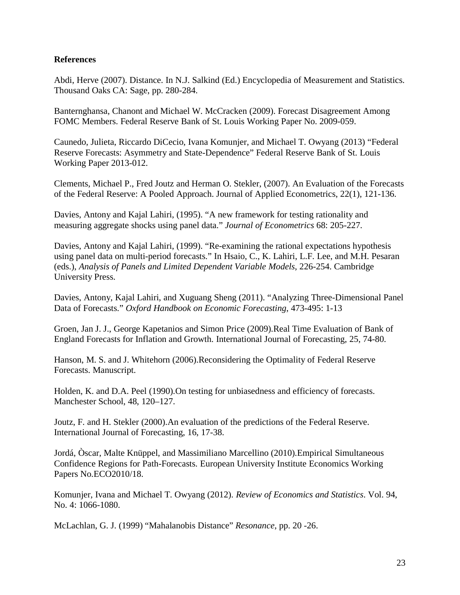#### **References**

Abdi, Herve (2007). Distance. In N.J. Salkind (Ed.) Encyclopedia of Measurement and Statistics. Thousand Oaks CA: Sage, pp. 280-284.

Banternghansa, Chanont and Michael W. McCracken (2009). Forecast Disagreement Among FOMC Members. Federal Reserve Bank of St. Louis Working Paper No. 2009-059.

Caunedo, Julieta, Riccardo DiCecio, Ivana Komunjer, and Michael T. Owyang (2013) "Federal Reserve Forecasts: Asymmetry and State-Dependence" Federal Reserve Bank of St. Louis Working Paper 2013-012.

Clements, Michael P., Fred Joutz and Herman O. Stekler, (2007). An Evaluation of the Forecasts of the Federal Reserve: A Pooled Approach. Journal of Applied Econometrics, 22(1), 121-136.

Davies, Antony and Kajal Lahiri, (1995). "A new framework for testing rationality and measuring aggregate shocks using panel data." *Journal of Econometrics* 68: 205-227.

Davies, Antony and Kajal Lahiri, (1999). "Re-examining the rational expectations hypothesis using panel data on multi-period forecasts." In Hsaio, C., K. Lahiri, L.F. Lee, and M.H. Pesaran (eds.), *Analysis of Panels and Limited Dependent Variable Models*, 226-254. Cambridge University Press.

Davies, Antony, Kajal Lahiri, and Xuguang Sheng (2011). "Analyzing Three-Dimensional Panel Data of Forecasts." *Oxford Handbook on Economic Forecasting*, 473-495: 1-13

Groen, Jan J. J., George Kapetanios and Simon Price (2009).Real Time Evaluation of Bank of England Forecasts for Inflation and Growth. International Journal of Forecasting, 25, 74-80.

Hanson, M. S. and J. Whitehorn (2006).Reconsidering the Optimality of Federal Reserve Forecasts. Manuscript.

Holden, K. and D.A. Peel (1990).On testing for unbiasedness and efficiency of forecasts. Manchester School, 48, 120–127.

Joutz, F. and H. Stekler (2000).An evaluation of the predictions of the Federal Reserve. International Journal of Forecasting, 16, 17-38.

Jordá, Òscar, Malte Knüppel, and Massimiliano Marcellino (2010).Empirical Simultaneous Confidence Regions for Path-Forecasts. European University Institute Economics Working Papers No.ECO2010/18.

Komunjer, Ivana and Michael T. Owyang (2012). *Review of Economics and Statistics*. Vol. 94, No. 4: 1066-1080.

McLachlan, G. J. (1999) "Mahalanobis Distance" *Resonance*, pp. 20 -26.